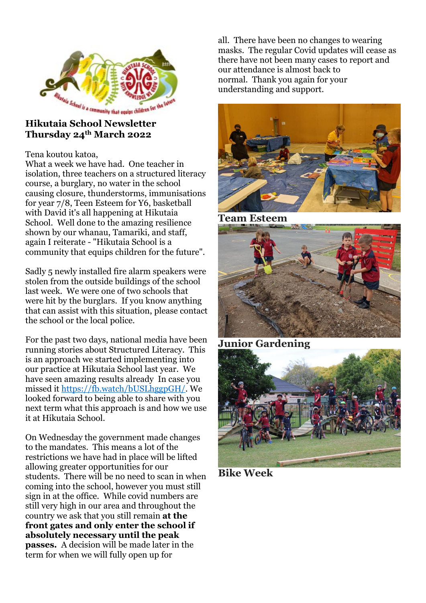

# **Thursday 24th March 2022**

Tena koutou katoa,

What a week we have had. One teacher in isolation, three teachers on a structured literacy course, a burglary, no water in the school causing closure, thunderstorms, immunisations for year 7/8, Teen Esteem for Y6, basketball with David it's all happening at Hikutaia School. Well done to the amazing resilience shown by our whanau, Tamariki, and staff, again I reiterate - "Hikutaia School is a community that equips children for the future".

Sadly 5 newly installed fire alarm speakers were stolen from the outside buildings of the school last week. We were one of two schools that were hit by the burglars. If you know anything that can assist with this situation, please contact the school or the local police.

For the past two days, national media have been running stories about Structured Literacy. This is an approach we started implementing into our practice at Hikutaia School last year. We have seen amazing results already In case you missed it [https://fb.watch/bUSLhggpGH/.](https://fb.watch/bUSLhggpGH/) We looked forward to being able to share with you next term what this approach is and how we use it at Hikutaia School.

On Wednesday the government made changes to the mandates. This means a lot of the restrictions we have had in place will be lifted allowing greater opportunities for our students. There will be no need to scan in when coming into the school, however you must still sign in at the office. While covid numbers are still very high in our area and throughout the country we ask that you still remain **at the front gates and only enter the school if absolutely necessary until the peak passes.** A decision will be made later in the term for when we will fully open up for

all. There have been no changes to wearing masks. The regular Covid updates will cease as there have not been many cases to report and our attendance is almost back to normal. Thank you again for your understanding and support.



**Team Esteem**





**Bike Week**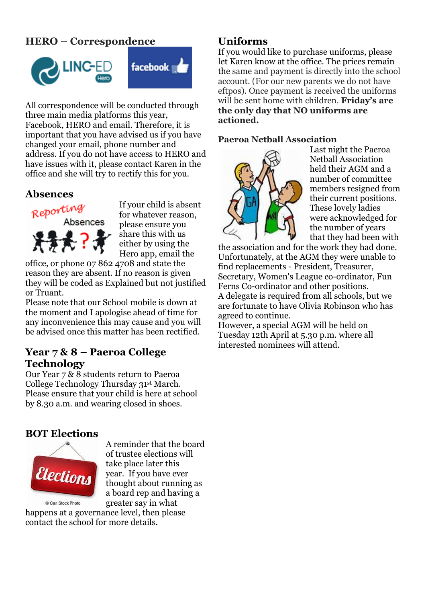# **HERO – Correspondence**





All correspondence will be conducted through three main media platforms this year, Facebook, HERO and email. Therefore, it is important that you have advised us if you have changed your email, phone number and address. If you do not have access to HERO and have issues with it, please contact Karen in the office and she will try to rectify this for you.

# **Absences**



If your child is absent for whatever reason, please ensure you share this with us either by using the Hero app, email the

office, or phone 07 862 4708 and state the reason they are absent. If no reason is given they will be coded as Explained but not justified or Truant.

Please note that our School mobile is down at the moment and I apologise ahead of time for any inconvenience this may cause and you will be advised once this matter has been rectified.

# **Year 7 & 8 – Paeroa College Technology**

Our Year 7 & 8 students return to Paeroa College Technology Thursday 31st March. Please ensure that your child is here at school by 8.30 a.m. and wearing closed in shoes.

# **BOT Elections**



A reminder that the board of trustee elections will take place later this year. If you have ever thought about running as a board rep and having a greater say in what

happens at a governance level, then please contact the school for more details.

# **Uniforms**

If you would like to purchase uniforms, please let Karen know at the office. The prices remain the same and payment is directly into the school account. (For our new parents we do not have eftpos). Once payment is received the uniforms will be sent home with children. **Friday's are the only day that NO uniforms are actioned.**

### **Paeroa Netball Association**



Last night the Paeroa Netball Association held their AGM and a number of committee members resigned from their current positions. These lovely ladies were acknowledged for the number of years that they had been with

the association and for the work they had done. Unfortunately, at the AGM they were unable to find replacements - President, Treasurer, Secretary, Women's League co-ordinator, Fun Ferns Co-ordinator and other positions. A delegate is required from all schools, but we are fortunate to have Olivia Robinson who has agreed to continue.

However, a special AGM will be held on Tuesday 12th April at 5.30 p.m. where all interested nominees will attend.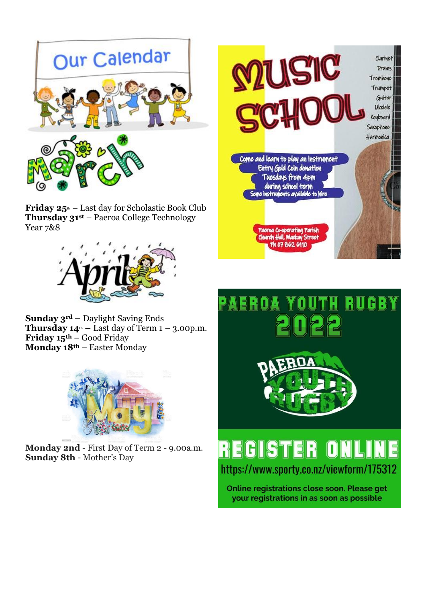

**Friday 25th** – Last day for Scholastic Book Club **Thursday 31st** – Paeroa College Technology Year 7&8



**Sunday 3rd –** Daylight Saving Ends **Thursday**  $14^{\text{th}}$  **– Last day of Term**  $1 - 3.00$  **p.m. Friday 15th** – Good Friday **Monday 18th** – Easter Monday



**Monday 2nd** - First Day of Term 2 - 9.00a.m. **Sunday 8th** - Mother's Day





# REGIS TER https://www.sporty.co.nz/viewform/175312

Online registrations close soon. Please get your registrations in as soon as possible